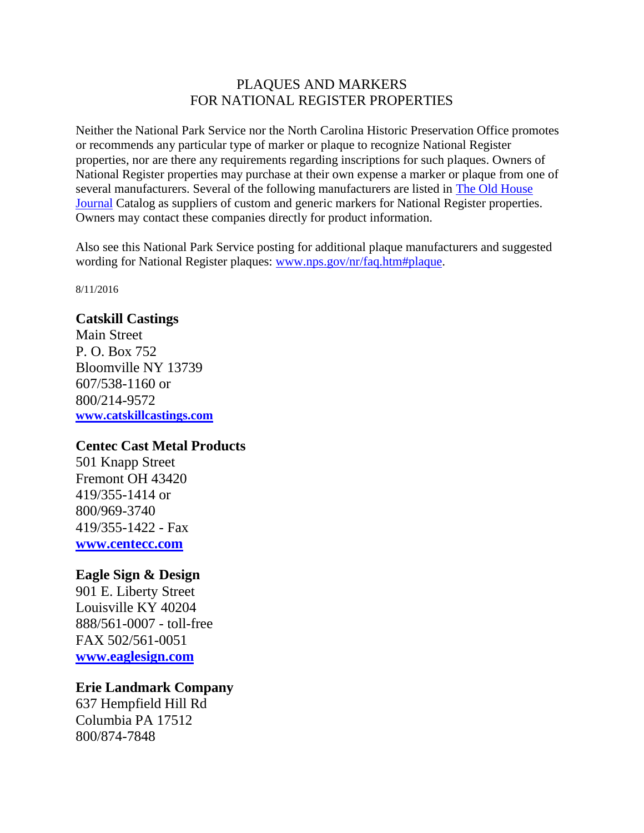## PLAQUES AND MARKERS FOR NATIONAL REGISTER PROPERTIES

Neither the National Park Service nor the North Carolina Historic Preservation Office promotes or recommends any particular type of marker or plaque to recognize National Register properties, nor are there any requirements regarding inscriptions for such plaques. Owners of National Register properties may purchase at their own expense a marker or plaque from one of several manufacturers. Several of the following manufacturers are listed in [The Old House](http://www.oldhousejournal.com/)  [Journal](http://www.oldhousejournal.com/) Catalog as suppliers of custom and generic markers for National Register properties. Owners may contact these companies directly for product information.

Also see this National Park Service posting for additional plaque manufacturers and suggested wording for National Register plaques: [www.nps.gov/nr/faq.htm#plaque.](https://www.nps.gov/nr/faq.htm#plaque)

8/11/2016

#### **Catskill Castings**

Main Street P. O. Box 752 Bloomville NY 13739 607/538-1160 or 800/214-9572 **[www.catskillcastings.com](http://www.catskillcastings.com/)**

## **Centec Cast Metal Products**

501 Knapp Street Fremont OH 43420 419/355-1414 or 800/969-3740 419/355-1422 - Fax **[www.centecc.com](http://www.centecc.com/)**

## **Eagle Sign & Design**

901 E. Liberty Street Louisville KY 40204 888/561-0007 - toll-free FAX 502/561-0051 **[www.eaglesign.com](http://www.eaglesign.com/)**

## **Erie Landmark Company**

637 Hempfield Hill Rd Columbia PA 17512 800/874-7848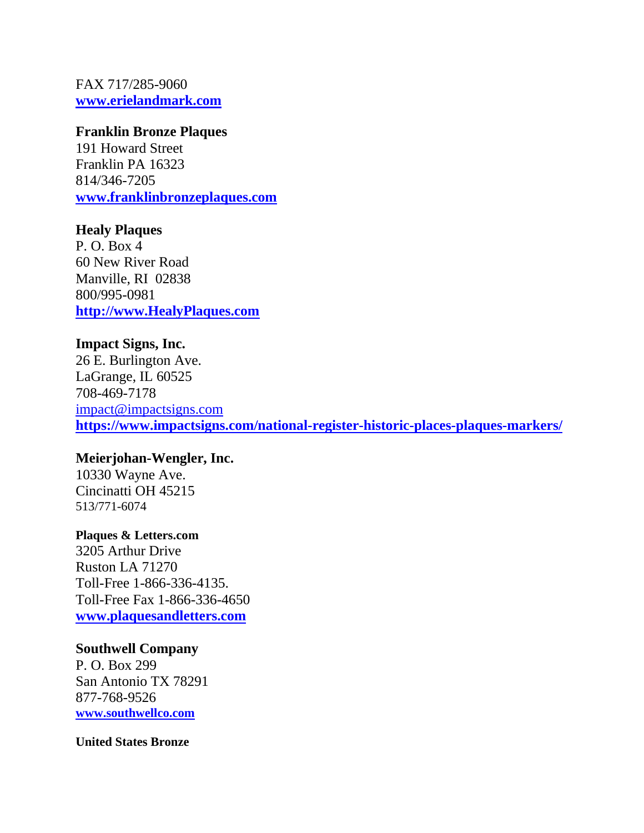FAX 717/285-9060 **[www.erielandmark.com](http://erielandmark.com/)**

#### **Franklin Bronze Plaques**

191 Howard Street Franklin PA 16323 814/346-7205 **[www.franklinbronzeplaques.com](http://www.franklinbronzeplaques.com/)**

#### **Healy Plaques**

P. O. Box 4 60 New River Road Manville, RI 02838 800/995-0981 **[http://www.HealyPlaques.com](http://www.healyplaques.com/)**

# **Impact Signs, Inc.**

26 E. Burlington Ave. LaGrange, IL 60525 708-469-7178 [impact@impactsigns.com](mailto:impact@impactsigns.com) **<https://www.impactsigns.com/national-register-historic-places-plaques-markers/>**

## **Meierjohan-Wengler, Inc.**

10330 Wayne Ave. Cincinatti OH 45215 513/771-6074

## **Plaques & Letters.com**

3205 Arthur Drive Ruston LA 71270 Toll-Free 1-866-336-4135. Toll-Free Fax 1-866-336-4650 **[www.plaquesandletters.com](http://www.plaquesandletters.com/standard_nat_hist_register.htm)**

## **Southwell Company**

P. O. Box 299 San Antonio TX 78291 877-768-9526 **[www.southwellco.com](http://www.southwellco.com/)**

#### **United States Bronze**